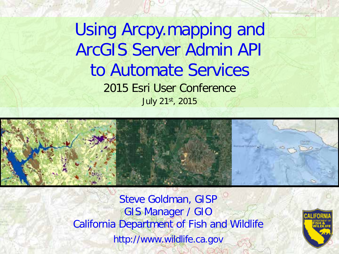2015 Esri User Conference Using Arcpy.mapping and ArcGIS Server Admin API to Automate Services July 21st, 2015



Steve Goldman, GISP GIS Manager / GIO California Department of Fish and Wildlife http://www.wildlife.ca.gov

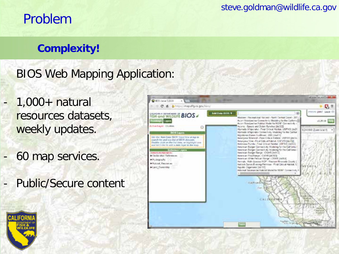# Problem

### **Complexity!**

- BIOS Web Mapping Application:
- $1,000+$  natural resources datasets, weekly updates.
- 60 map services.
- Public/Secure content



steve.goldman@wildlife.ca.gov

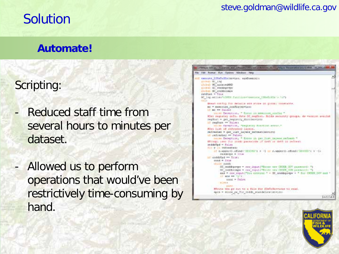# Solution

#### steve.goldman@wildlife.ca.gov

### **Automate!**

### Scripting:

- Reduced staff time from several hours to minutes per dataset.
- Allowed us to perform operations that would've been restrictively time-consuming by hand.



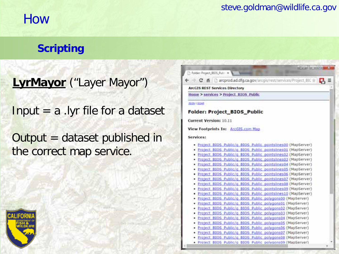## How

### steve.goldman@wildlife.ca.gov

### **Scripting**

**LyrMayor** ("Layer Mayor")

Input = a .lyr file for a dataset

Output = dataset published in the correct map service.

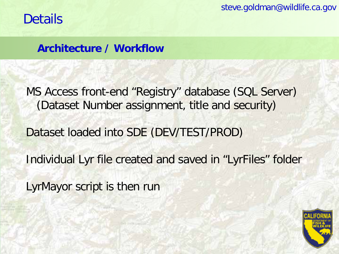steve.goldman@wildlife.ca.gov

**Architecture / Workflow**

MS Access front-end "Registry" database (SQL Server) (Dataset Number assignment, title and security) Dataset loaded into SDE (DEV/TEST/PROD) Individual Lyr file created and saved in "LyrFiles" folder LyrMayor script is then run

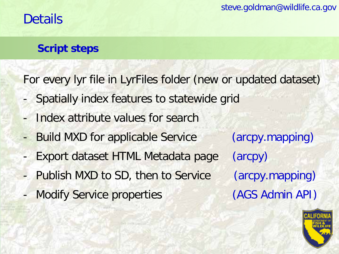### **Script steps**

For every lyr file in LyrFiles folder (new or updated dataset)

- Spatially index features to statewide grid
- Index attribute values for search
- Build MXD for applicable Service (arcpy.mapping)
- Export dataset HTML Metadata page (arcpy)
- Publish MXD to SD, then to Service (arcpy.mapping)
- Modify Service properties (AGS Admin API)

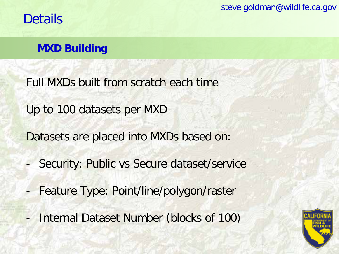steve.goldman@wildlife.ca.gov

## **Details**

### **MXD Building**

Full MXDs built from scratch each time

Up to 100 datasets per MXD

Datasets are placed into MXDs based on:

- Security: Public vs Secure dataset/service
- Feature Type: Point/line/polygon/raster
- Internal Dataset Number (blocks of 100)

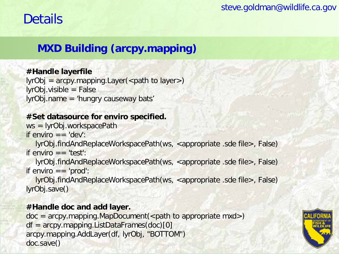### **MXD Building (arcpy.mapping)**

#### **#Handle layerfile**

 $lyrobj = \text{arcpy}$ . mapping. Layer (<path to layer>) lyrObj.visible = False lyrObj.name = 'hungry causeway bats'

#### **#Set datasource for enviro specified.**

ws = lyrObj.workspacePath if enviro  $=$   $=$  'dev':

lyrObj.findAndReplaceWorkspacePath(ws, <appropriate .sde file>, False) if enviro  $=$   $=$  'test':

lyrObj.findAndReplaceWorkspacePath(ws, <appropriate .sde file>, False) if enviro  $=$   $=$  'prod':

lyrObj.findAndReplaceWorkspacePath(ws, <appropriate .sde file>, False) lyrObj.save()

#### **#Handle doc and add layer.**

 $doc = \text{arcpy}$ . mapping. MapDocument(<path to appropriate mxd>) df = arcpy.mapping.ListDataFrames(doc)[0] arcpy.mapping.AddLayer(df, lyrObj, "BOTTOM") doc.save()

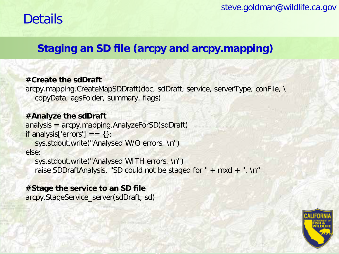### **Staging an SD file (arcpy and arcpy.mapping)**

#### **#Create the sdDraft**

arcpy.mapping.CreateMapSDDraft(doc, sdDraft, service, serverType, conFile, \ copyData, agsFolder, summary, flags)

#### **#Analyze the sdDraft**

analysis = arcpy.mapping.AnalyzeForSD(sdDraft) if analysis['errors'] ==  $\{\}$ :

sys.stdout.write("Analysed W/O errors. \n") else:

sys.stdout.write("Analysed WITH errors. \n") raise SDDraftAnalysis, "SD could not be staged for " $+$  mxd  $+$  ". \n"

#### **#Stage the service to an SD file**

arcpy.StageService\_server(sdDraft, sd)

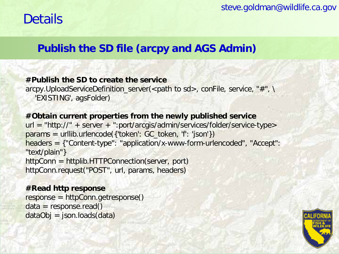### **Publish the SD file (arcpy and AGS Admin)**

#### **#Publish the SD to create the service**

arcpy.UploadServiceDefinition\_server(<path to sd>, conFile, service, "#", \ 'EXISTING', agsFolder)

#### **#Obtain current properties from the newly published service**

```
url = "http://" + server + ".port/arcgis/admin/serverrices/folder/servervice-type>params = urllib.urlencode({'token': GC_token, 'f': 'json'})
headers = {"Content-type": "application/x-www-form-urlencoded", "Accept": 
"text/plain"}
httpConn = httplib.HTTPConnection(server, port)
httpConn.request("POST", url, params, headers)
```
#### **#Read http response**

response = httpConn.getresponse()  $data = response.read()$  $dataObj = json.loads(data)$ 

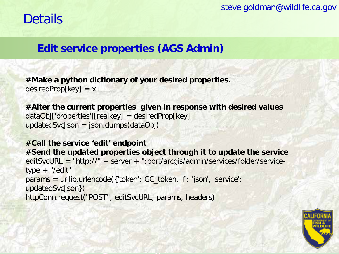### **Edit service properties (AGS Admin)**

**#Make a python dictionary of your desired properties.**  $desiredProp[key] = x$ 

**#Alter the current properties given in response with desired values**  $dataObj['properties'][realkey] = desiredProp[key]$  $u$ pdatedSvcJson = json.dumps(dataObj)

```
#Call the service 'edit' endpoint 
#Send the updated properties object through it to update the service
editSvcURL = "http://" + server + ":port/arcgis/admin/services/folder/service-
type + "/edit"
params = urllib.urlencode({'token': GC_token, 'f': 'json', 'service': 
updatedSvcJson})
httpConn.request("POST", editSvcURL, params, headers)
```